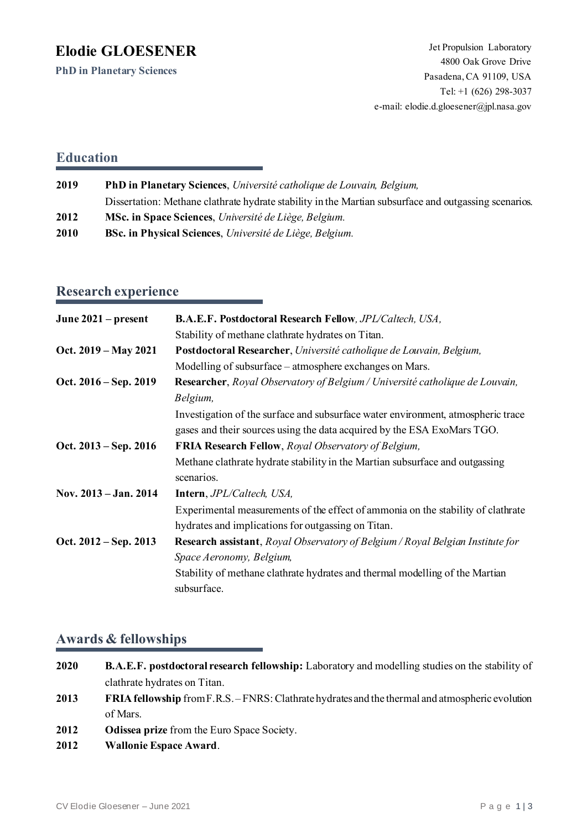# **Elodie GLOESENER**

**PhD in Planetary Sciences**

### **Education**

| 2019 | PhD in Planetary Sciences, Université catholique de Louvain, Belgium,                                 |  |
|------|-------------------------------------------------------------------------------------------------------|--|
|      | Dissertation: Methane clathrate hydrate stability in the Martian subsurface and outgassing scenarios. |  |
| 2012 | MSc. in Space Sciences, Université de Liège, Belgium.                                                 |  |
| 2010 | <b>BSc. in Physical Sciences</b> , Université de Liège, Belgium.                                      |  |

## **Research experience**

| June 2021 – present     | <b>B.A.E.F. Postdoctoral Research Fellow</b> , JPL/Caltech, USA,                                                                       |
|-------------------------|----------------------------------------------------------------------------------------------------------------------------------------|
|                         | Stability of methane clathrate hydrates on Titan.                                                                                      |
| Oct. 2019 – May 2021    | Postdoctoral Researcher, Université catholique de Louvain, Belgium,                                                                    |
|                         | Modelling of subsurface – atmosphere exchanges on Mars.                                                                                |
| Oct. $2016 - Sep. 2019$ | <b>Researcher,</b> Royal Observatory of Belgium / Université catholique de Louvain,<br>Belgium,                                        |
|                         | Investigation of the surface and subsurface water environment, atmospheric trace                                                       |
|                         | gases and their sources using the data acquired by the ESA ExoMars TGO.                                                                |
| Oct. $2013 - Sep. 2016$ | FRIA Research Fellow, Royal Observatory of Belgium,                                                                                    |
|                         | Methane clathrate hydrate stability in the Martian subsurface and outgassing<br>scenarios.                                             |
| Nov. 2013 – Jan. 2014   | <b>Intern</b> , <i>JPL/Caltech</i> , <i>USA</i> ,                                                                                      |
|                         | Experimental measurements of the effect of ammonia on the stability of clathrate<br>hydrates and implications for outgassing on Titan. |
| Oct. $2012 - Sep. 2013$ | <b>Research assistant</b> , <i>Royal Observatory of Belgium</i> / <i>Royal Belgian Institute for</i>                                   |
|                         | Space Aeronomy, Belgium,                                                                                                               |
|                         | Stability of methane clathrate hydrates and thermal modelling of the Martian<br>subsurface.                                            |

### **Awards & fellowships**

- **2020 B.A.E.F. postdoctoral research fellowship:** Laboratory and modelling studies on the stability of clathrate hydrates on Titan.
- **2013 FRIA fellowship** from F.R.S. FNRS: Clathrate hydrates and the thermal and atmospheric evolution of Mars.
- **2012 Odissea prize**from the Euro Space Society.
- **2012 Wallonie Espace Award**.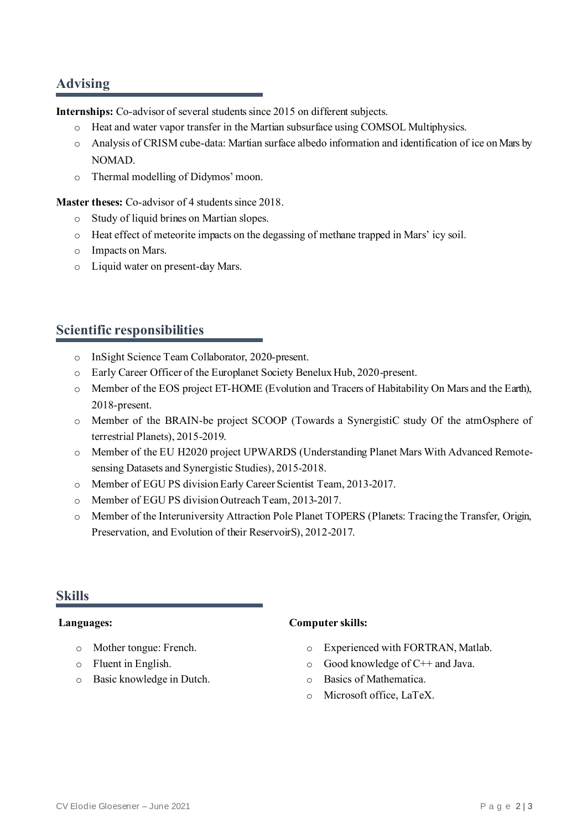### **Advising**

**Internships:** Co-advisor of several students since 2015 on different subjects.

- o Heat and water vapor transfer in the Martian subsurface using COMSOL Multiphysics.
- o Analysis of CRISM cube-data: Martian surface albedo information and identification of ice on Mars by NOMAD.
- o Thermal modelling of Didymos' moon.

**Master theses:** Co-advisor of 4 students since 2018.

- o Study of liquid brines on Martianslopes.
- o Heat effect of meteorite impacts on the degassing of methane trapped in Mars' icy soil.
- o Impacts on Mars.
- o Liquid water on present-day Mars.

### **Scientific responsibilities**

- o InSight Science Team Collaborator, 2020-present.
- o Early Career Officer of the Europlanet Society Benelux Hub, 2020-present.
- o Member of the EOS project ET-HOME (Evolution and Tracers of Habitability On Mars and the Earth), 2018-present.
- o Member of the BRAIN-be project SCOOP (Towards a SynergistiC study Of the atmOsphere of terrestrial Planets), 2015-2019.
- o Member of the EU H2020 project UPWARDS (Understanding Planet Mars With Advanced Remotesensing Datasets and Synergistic Studies),2015-2018.
- o Member of EGU PS division Early Career Scientist Team, 2013-2017.
- o Member of EGU PS division Outreach Team, 2013-2017.
- o Member of the Interuniversity Attraction Pole Planet TOPERS (Planets: Tracing the Transfer, Origin, Preservation, and Evolution of their ReservoirS), 2012-2017.

### **Skills**

#### **Languages:**

- o Mother tongue: French.
- o Fluent in English.
- o Basic knowledge in Dutch.

#### **Computer skills:**

- o Experienced with FORTRAN, Matlab.
- o Good knowledge of C++ and Java.
- o Basics of Mathematica.
- o Microsoft office, LaTeX.